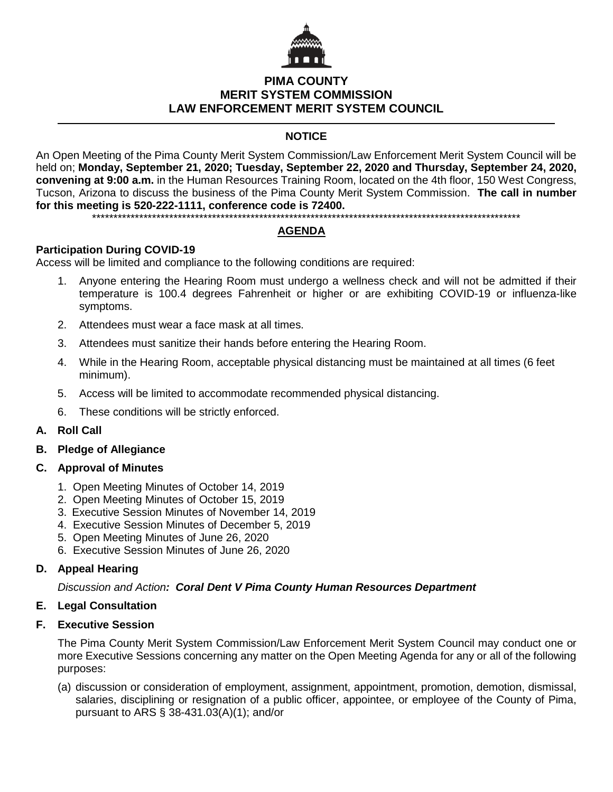

## **PIMA COUNTY MERIT SYSTEM COMMISSION LAW ENFORCEMENT MERIT SYSTEM COUNCIL**

## **NOTICE**

An Open Meeting of the Pima County Merit System Commission/Law Enforcement Merit System Council will be held on; **Monday, September 21, 2020; Tuesday, September 22, 2020 and Thursday, September 24, 2020, convening at 9:00 a.m.** in the Human Resources Training Room, located on the 4th floor, 150 West Congress, Tucson, Arizona to discuss the business of the Pima County Merit System Commission. **The call in number for this meeting is 520-222-1111, conference code is 72400.**

\*\*\*\*\*\*\*\*\*\*\*\*\*\*\*\*\*\*\*\*\*\*\*\*\*\*\*\*\*\*\*\*\*\*\*\*\*\*\*\*\*\*\*\*\*\*\*\*\*\*\*\*\*\*\*\*\*\*\*\*\*\*\*\*\*\*\*\*\*\*\*\*\*\*\*\*\*\*\*\*\*\*\*\*\*\*\*\*\*\*\*\*\*\*\*\*\*\*\*\*

# **AGENDA**

#### **Participation During COVID-19**

Access will be limited and compliance to the following conditions are required:

- 1. Anyone entering the Hearing Room must undergo a wellness check and will not be admitted if their temperature is 100.4 degrees Fahrenheit or higher or are exhibiting COVID-19 or influenza-like symptoms.
- 2. Attendees must wear a face mask at all times.
- 3. Attendees must sanitize their hands before entering the Hearing Room.
- 4. While in the Hearing Room, acceptable physical distancing must be maintained at all times (6 feet minimum).
- 5. Access will be limited to accommodate recommended physical distancing.
- 6. These conditions will be strictly enforced.

#### **A. Roll Call**

#### **B. Pledge of Allegiance**

#### **C. Approval of Minutes**

- 1. Open Meeting Minutes of October 14, 2019
- 2. Open Meeting Minutes of October 15, 2019
- 3. Executive Session Minutes of November 14, 2019
- 4. Executive Session Minutes of December 5, 2019
- 5. Open Meeting Minutes of June 26, 2020
- 6. Executive Session Minutes of June 26, 2020

#### **D. Appeal Hearing**

*Discussion and Action: Coral Dent V Pima County Human Resources Department*

#### **E. Legal Consultation**

#### **F. Executive Session**

The Pima County Merit System Commission/Law Enforcement Merit System Council may conduct one or more Executive Sessions concerning any matter on the Open Meeting Agenda for any or all of the following purposes:

(a) discussion or consideration of employment, assignment, appointment, promotion, demotion, dismissal, salaries, disciplining or resignation of a public officer, appointee, or employee of the County of Pima, pursuant to ARS § 38-431.03(A)(1); and/or